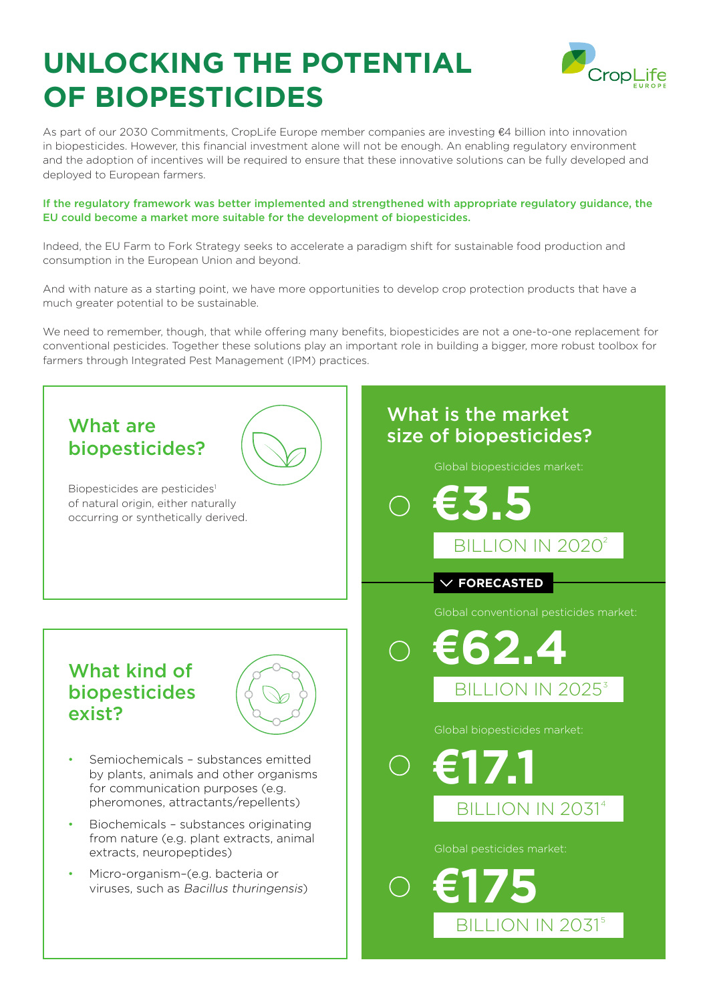# **UNLOCKING THE POTENTIAL OF BIOPESTICIDES**



As part of our 2030 Commitments, CropLife Europe member companies are investing €4 billion into innovation in biopesticides. However, this financial investment alone will not be enough. An enabling regulatory environment and the adoption of incentives will be required to ensure that these innovative solutions can be fully developed and deployed to European farmers.

#### If the regulatory framework was better implemented and strengthened with appropriate regulatory guidance, the EU could become a market more suitable for the development of biopesticides.

Indeed, the EU Farm to Fork Strategy seeks to accelerate a paradigm shift for sustainable food production and consumption in the European Union and beyond.

And with nature as a starting point, we have more opportunities to develop crop protection products that have a much greater potential to be sustainable.

We need to remember, though, that while offering many benefits, biopesticides are not a one-to-one replacement for conventional pesticides. Together these solutions play an important role in building a bigger, more robust toolbox for farmers through Integrated Pest Management (IPM) practices.